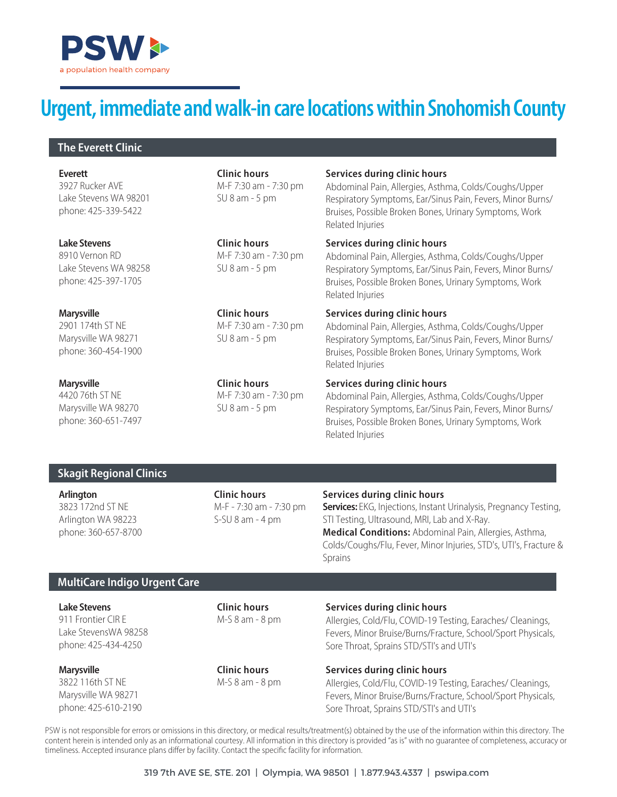

# **Urgent, immediate and walk-in care locations within Snohomish County**

#### **The Everett Clinic**

3927 Rucker AVE Lake Stevens WA 98201 phone: 425-339-5422 **Everett**

8910 Vernon RD Lake Stevens WA 98258 phone: 425-397-1705 **Lake Stevens**

2901 174th ST NE Marysville WA 98271 phone: 360-454-1900 **Marysville**

4420 76th ST NE Marysville WA 98270 phone: 360-651-7497 **Marysville**

**Clinic hours** M-F 7:30 am - 7:30 pm SU 8 am - 5 pm

**Clinic hours** M-F 7:30 am - 7:30 pm SU 8 am - 5 pm

**Clinic hours** M-F 7:30 am - 7:30 pm SU 8 am - 5 pm

**Clinic hours** M-F 7:30 am - 7:30 pm SU 8 am - 5 pm

#### **Services during clinic hours**

Abdominal Pain, Allergies, Asthma, Colds/Coughs/Upper Respiratory Symptoms, Ear/Sinus Pain, Fevers, Minor Burns/ Bruises, Possible Broken Bones, Urinary Symptoms, Work Related Injuries

#### **Services during clinic hours**

Abdominal Pain, Allergies, Asthma, Colds/Coughs/Upper Respiratory Symptoms, Ear/Sinus Pain, Fevers, Minor Burns/ Bruises, Possible Broken Bones, Urinary Symptoms, Work Related Injuries

#### **Services during clinic hours**

Abdominal Pain, Allergies, Asthma, Colds/Coughs/Upper Respiratory Symptoms, Ear/Sinus Pain, Fevers, Minor Burns/ Bruises, Possible Broken Bones, Urinary Symptoms, Work Related Injuries

#### **Services during clinic hours**

Abdominal Pain, Allergies, Asthma, Colds/Coughs/Upper Respiratory Symptoms, Ear/Sinus Pain, Fevers, Minor Burns/ Bruises, Possible Broken Bones, Urinary Symptoms, Work Related Injuries

## **Skagit Regional Clinics**

3823 172nd ST NE Arlington WA 98223 phone: 360-657-8700 M-F - 7:30 am - 7:30 pm S-SU 8 am - 4 pm

#### **Arlington Clinic hours Services during clinic hours**

**Services:** EKG, Injections, Instant Urinalysis, Pregnancy Testing, STI Testing, Ultrasound, MRI, Lab and X-Ray. **Medical Conditions:** Abdominal Pain, Allergies, Asthma, Colds/Coughs/Flu, Fever, Minor Injuries, STD's, UTI's, Fracture & Sprains

#### **MultiCare Indigo Urgent Care**

**Lake Stevens**

911 Frontier CIR E Lake StevensWA 98258 phone: 425-434-4250

3822 116th ST NE Marysville WA 98271 phone: 425-610-2190 **Marysville**

**Clinic hours** M-S 8 am - 8 pm

**Services during clinic hours** 

**Clinic hours** M-S 8 am - 8 pm

# Allergies, Cold/Flu, COVID-19 Testing, Earaches/ Cleanings,

Fevers, Minor Bruise/Burns/Fracture, School/Sport Physicals, Sore Throat, Sprains STD/STI's and UTI's

**Services during clinic hours** 

Allergies, Cold/Flu, COVID-19 Testing, Earaches/ Cleanings, Fevers, Minor Bruise/Burns/Fracture, School/Sport Physicals, Sore Throat, Sprains STD/STI's and UTI's

PSW is not responsible for errors or omissions in this directory, or medical results/treatment(s) obtained by the use of the information within this directory. The content herein is intended only as an informational courtesy. All information in this directory is provided "as is" with no guarantee of completeness, accuracy or timeliness. Accepted insurance plans differ by facility. Contact the specific facility for information.